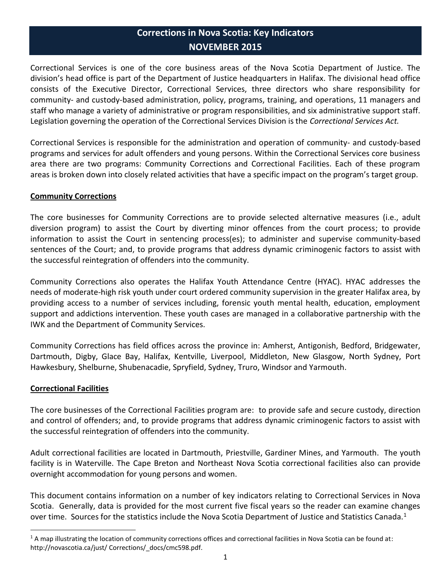# **Corrections in Nova Scotia: Key Indicators NOVEMBER 2015**

Correctional Services is one of the core business areas of the Nova Scotia Department of Justice. The division's head office is part of the Department of Justice headquarters in Halifax. The divisional head office consists of the Executive Director, Correctional Services, three directors who share responsibility for community- and custody-based administration, policy, programs, training, and operations, 11 managers and staff who manage a variety of administrative or program responsibilities, and six administrative support staff. Legislation governing the operation of the Correctional Services Division is the *Correctional Services Act.*

Correctional Services is responsible for the administration and operation of community- and custody-based programs and services for adult offenders and young persons. Within the Correctional Services core business area there are two programs: Community Corrections and Correctional Facilities. Each of these program areas is broken down into closely related activities that have a specific impact on the program's target group.

#### **Community Corrections**

The core businesses for Community Corrections are to provide selected alternative measures (i.e., adult diversion program) to assist the Court by diverting minor offences from the court process; to provide information to assist the Court in sentencing process(es); to administer and supervise community-based sentences of the Court; and, to provide programs that address dynamic criminogenic factors to assist with the successful reintegration of offenders into the community.

Community Corrections also operates the Halifax Youth Attendance Centre (HYAC). HYAC addresses the needs of moderate-high risk youth under court ordered community supervision in the greater Halifax area, by providing access to a number of services including, forensic youth mental health, education, employment support and addictions intervention. These youth cases are managed in a collaborative partnership with the IWK and the Department of Community Services.

Community Corrections has field offices across the province in: Amherst, Antigonish, Bedford, Bridgewater, Dartmouth, Digby, Glace Bay, Halifax, Kentville, Liverpool, Middleton, New Glasgow, North Sydney, Port Hawkesbury, Shelburne, Shubenacadie, Spryfield, Sydney, Truro, Windsor and Yarmouth.

#### **Correctional Facilities**

 $\overline{\phantom{a}}$ 

The core businesses of the Correctional Facilities program are: to provide safe and secure custody, direction and control of offenders; and, to provide programs that address dynamic criminogenic factors to assist with the successful reintegration of offenders into the community.

Adult correctional facilities are located in Dartmouth, Priestville, Gardiner Mines, and Yarmouth. The youth facility is in Waterville. The Cape Breton and Northeast Nova Scotia correctional facilities also can provide overnight accommodation for young persons and women.

This document contains information on a number of key indicators relating to Correctional Services in Nova Scotia. Generally, data is provided for the most current five fiscal years so the reader can examine changes over time. Sources for the statistics include the Nova Scotia Department of Justice and Statistics Canada.<sup>1</sup>

 $1$  A map illustrating the location of community corrections offices and correctional facilities in Nova Scotia can be found at: http://novascotia.ca/just/ Corrections/\_docs/cmc598.pdf.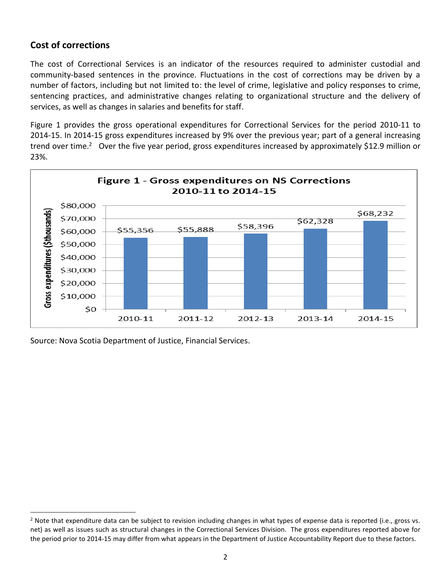## **Cost of corrections**

 $\overline{\phantom{a}}$ 

The cost of Correctional Services is an indicator of the resources required to administer custodial and community-based sentences in the province. Fluctuations in the cost of corrections may be driven by a number of factors, including but not limited to: the level of crime, legislative and policy responses to crime, sentencing practices, and administrative changes relating to organizational structure and the delivery of services, as well as changes in salaries and benefits for staff.

Figure 1 provides the gross operational expenditures for Correctional Services for the period 2010-11 to 2014-15. In 2014-15 gross expenditures increased by 9% over the previous year; part of a general increasing trend over time.<sup>2</sup> Over the five year period, gross expenditures increased by approximately \$12.9 million or 23%.



Source: Nova Scotia Department of Justice, Financial Services.

 $<sup>2</sup>$  Note that expenditure data can be subject to revision including changes in what types of expense data is reported (i.e., gross vs.</sup> net) as well as issues such as structural changes in the Correctional Services Division. The gross expenditures reported above for the period prior to 2014-15 may differ from what appears in the Department of Justice Accountability Report due to these factors.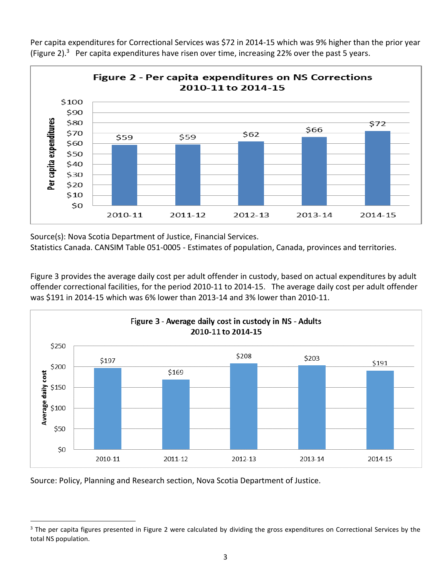Per capita expenditures for Correctional Services was \$72 in 2014-15 which was 9% higher than the prior year (Figure 2).<sup>3</sup> Per capita expenditures have risen over time, increasing 22% over the past 5 years.



Source(s): Nova Scotia Department of Justice, Financial Services.

Statistics Canada. CANSIM Table 051-0005 - Estimates of population, Canada, provinces and territories.

Figure 3 provides the average daily cost per adult offender in custody, based on actual expenditures by adult offender correctional facilities, for the period 2010-11 to 2014-15. The average daily cost per adult offender was \$191 in 2014-15 which was 6% lower than 2013-14 and 3% lower than 2010-11.



Source: Policy, Planning and Research section, Nova Scotia Department of Justice.

 $\overline{a}$ <sup>3</sup> The per capita figures presented in Figure 2 were calculated by dividing the gross expenditures on Correctional Services by the total NS population.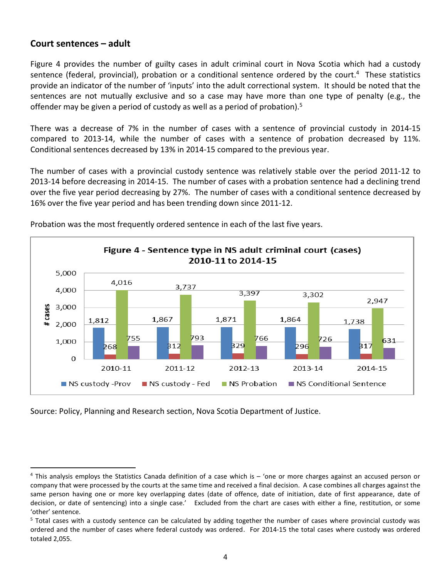#### **Court sentences – adult**

 $\overline{\phantom{a}}$ 

Figure 4 provides the number of guilty cases in adult criminal court in Nova Scotia which had a custody sentence (federal, provincial), probation or a conditional sentence ordered by the court.<sup>4</sup> These statistics provide an indicator of the number of 'inputs' into the adult correctional system. It should be noted that the sentences are not mutually exclusive and so a case may have more than one type of penalty (e.g., the offender may be given a period of custody as well as a period of probation).<sup>5</sup>

There was a decrease of 7% in the number of cases with a sentence of provincial custody in 2014-15 compared to 2013-14, while the number of cases with a sentence of probation decreased by 11%. Conditional sentences decreased by 13% in 2014-15 compared to the previous year.

The number of cases with a provincial custody sentence was relatively stable over the period 2011-12 to 2013-14 before decreasing in 2014-15. The number of cases with a probation sentence had a declining trend over the five year period decreasing by 27%. The number of cases with a conditional sentence decreased by 16% over the five year period and has been trending down since 2011-12.



Probation was the most frequently ordered sentence in each of the last five years.

Source: Policy, Planning and Research section, Nova Scotia Department of Justice.

<sup>4</sup> This analysis employs the Statistics Canada definition of a case which is – 'one or more charges against an accused person or company that were processed by the courts at the same time and received a final decision. A case combines all charges against the same person having one or more key overlapping dates (date of offence, date of initiation, date of first appearance, date of decision, or date of sentencing) into a single case.' Excluded from the chart are cases with either a fine, restitution, or some 'other' sentence.

<sup>&</sup>lt;sup>5</sup> Total cases with a custody sentence can be calculated by adding together the number of cases where provincial custody was ordered and the number of cases where federal custody was ordered. For 2014-15 the total cases where custody was ordered totaled 2,055.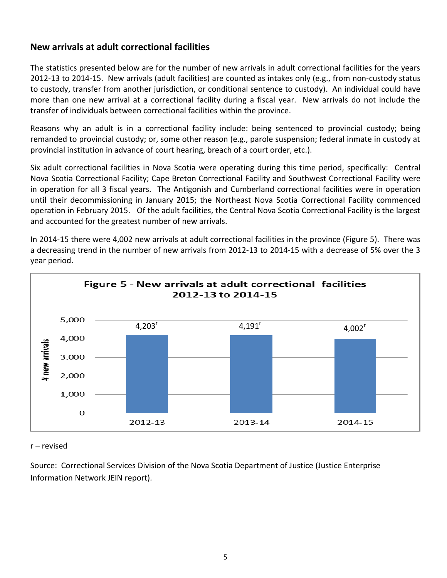## **New arrivals at adult correctional facilities**

The statistics presented below are for the number of new arrivals in adult correctional facilities for the years 2012-13 to 2014-15. New arrivals (adult facilities) are counted as intakes only (e.g., from non-custody status to custody, transfer from another jurisdiction, or conditional sentence to custody). An individual could have more than one new arrival at a correctional facility during a fiscal year. New arrivals do not include the transfer of individuals between correctional facilities within the province.

Reasons why an adult is in a correctional facility include: being sentenced to provincial custody; being remanded to provincial custody; or, some other reason (e.g., parole suspension; federal inmate in custody at provincial institution in advance of court hearing, breach of a court order, etc.).

Six adult correctional facilities in Nova Scotia were operating during this time period, specifically: Central Nova Scotia Correctional Facility; Cape Breton Correctional Facility and Southwest Correctional Facility were in operation for all 3 fiscal years. The Antigonish and Cumberland correctional facilities were in operation until their decommissioning in January 2015; the Northeast Nova Scotia Correctional Facility commenced operation in February 2015. Of the adult facilities, the Central Nova Scotia Correctional Facility is the largest and accounted for the greatest number of new arrivals.

In 2014-15 there were 4,002 new arrivals at adult correctional facilities in the province (Figure 5). There was a decreasing trend in the number of new arrivals from 2012-13 to 2014-15 with a decrease of 5% over the 3 year period.



r – revised

Source: Correctional Services Division of the Nova Scotia Department of Justice (Justice Enterprise Information Network JEIN report).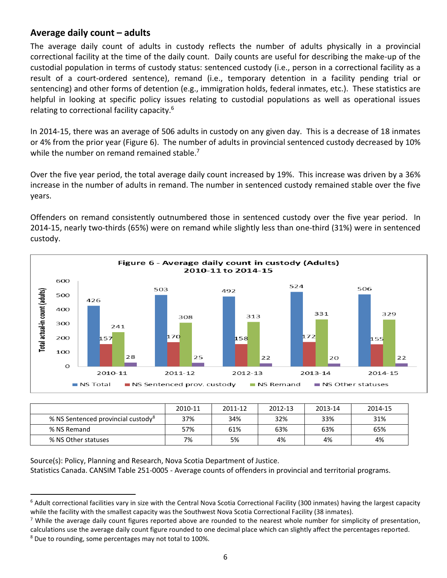### **Average daily count – adults**

l

The average daily count of adults in custody reflects the number of adults physically in a provincial correctional facility at the time of the daily count. Daily counts are useful for describing the make-up of the custodial population in terms of custody status: sentenced custody (i.e., person in a correctional facility as a result of a court-ordered sentence), remand (i.e., temporary detention in a facility pending trial or sentencing) and other forms of detention (e.g., immigration holds, federal inmates, etc.). These statistics are helpful in looking at specific policy issues relating to custodial populations as well as operational issues relating to correctional facility capacity.<sup>6</sup>

In 2014-15, there was an average of 506 adults in custody on any given day. This is a decrease of 18 inmates or 4% from the prior year (Figure 6). The number of adults in provincial sentenced custody decreased by 10% while the number on remand remained stable.<sup>7</sup>

Over the five year period, the total average daily count increased by 19%. This increase was driven by a 36% increase in the number of adults in remand. The number in sentenced custody remained stable over the five years.

Offenders on remand consistently outnumbered those in sentenced custody over the five year period. In 2014-15, nearly two-thirds (65%) were on remand while slightly less than one-third (31%) were in sentenced custody.



|                                                | 2010-11 | 2011-12 | 2012-13 | 2013-14 | 2014-15 |
|------------------------------------------------|---------|---------|---------|---------|---------|
| % NS Sentenced provincial custody <sup>8</sup> | 37%     | 34%     | 32%     | 33%     | 31%     |
| % NS Remand                                    | 57%     | 61%     | 63%     | 63%     | 65%     |
| % NS Other statuses                            | 7%      | 5%      | 4%      | 4%      | 4%      |

Source(s): Policy, Planning and Research, Nova Scotia Department of Justice. Statistics Canada. CANSIM Table 251-0005 - Average counts of offenders in provincial and territorial programs.

 $6$  Adult correctional facilities vary in size with the Central Nova Scotia Correctional Facility (300 inmates) having the largest capacity while the facility with the smallest capacity was the Southwest Nova Scotia Correctional Facility (38 inmates).

 $<sup>7</sup>$  While the average daily count figures reported above are rounded to the nearest whole number for simplicity of presentation,</sup> calculations use the average daily count figure rounded to one decimal place which can slightly affect the percentages reported. <sup>8</sup> Due to rounding, some percentages may not total to 100%.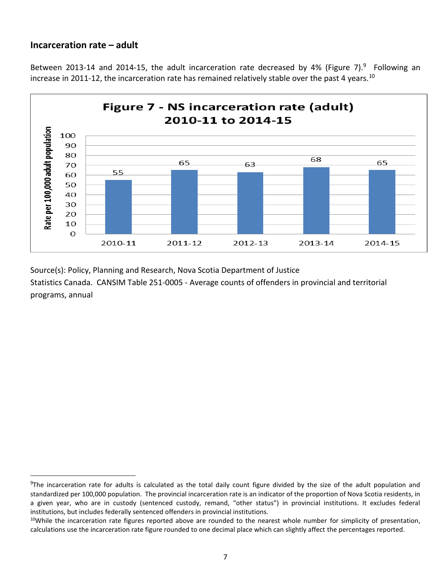#### **Incarceration rate – adult**

 $\overline{\phantom{a}}$ 

Between 2013-14 and 2014-15, the adult incarceration rate decreased by 4% (Figure 7).<sup>9</sup> Following an increase in 2011-12, the incarceration rate has remained relatively stable over the past 4 years.<sup>10</sup>



Source(s): Policy, Planning and Research, Nova Scotia Department of Justice

Statistics Canada. CANSIM Table 251-0005 - Average counts of offenders in provincial and territorial programs, annual

<sup>&</sup>lt;sup>9</sup>The incarceration rate for adults is calculated as the total daily count figure divided by the size of the adult population and standardized per 100,000 population. The provincial incarceration rate is an indicator of the proportion of Nova Scotia residents, in a given year, who are in custody (sentenced custody, remand, "other status") in provincial institutions. It excludes federal institutions, but includes federally sentenced offenders in provincial institutions.

 $10$ While the incarceration rate figures reported above are rounded to the nearest whole number for simplicity of presentation, calculations use the incarceration rate figure rounded to one decimal place which can slightly affect the percentages reported.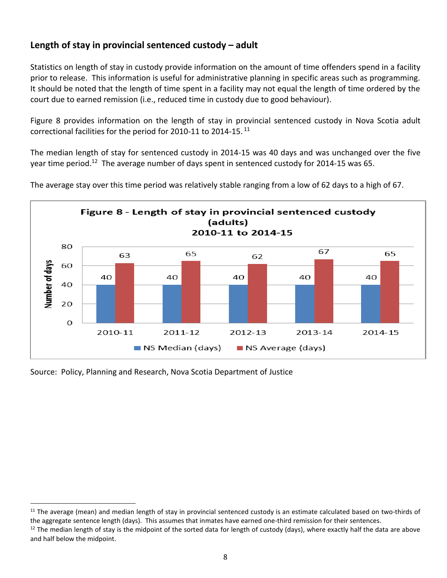# **Length of stay in provincial sentenced custody – adult**

Statistics on length of stay in custody provide information on the amount of time offenders spend in a facility prior to release. This information is useful for administrative planning in specific areas such as programming. It should be noted that the length of time spent in a facility may not equal the length of time ordered by the court due to earned remission (i.e., reduced time in custody due to good behaviour).

Figure 8 provides information on the length of stay in provincial sentenced custody in Nova Scotia adult correctional facilities for the period for 2010-11 to 2014-15. 11

The median length of stay for sentenced custody in 2014-15 was 40 days and was unchanged over the five year time period.<sup>12</sup> The average number of days spent in sentenced custody for 2014-15 was 65.



The average stay over this time period was relatively stable ranging from a low of 62 days to a high of 67.

Source: Policy, Planning and Research, Nova Scotia Department of Justice

 $\overline{a}$ 

 $11$  The average (mean) and median length of stay in provincial sentenced custody is an estimate calculated based on two-thirds of the aggregate sentence length (days). This assumes that inmates have earned one-third remission for their sentences. <sup>12</sup> The median length of stay is the midpoint of the sorted data for length of custody (days), where exactly half the data are above

and half below the midpoint.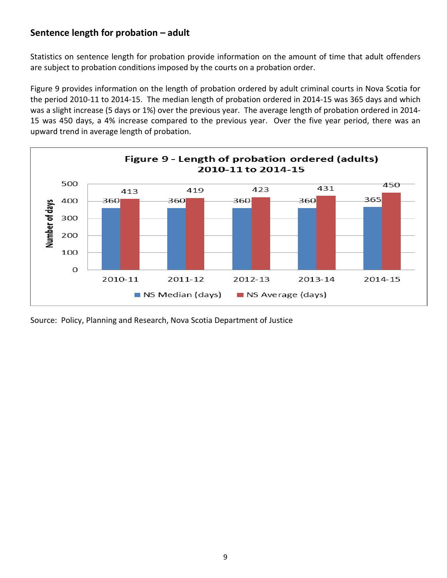# **Sentence length for probation – adult**

Statistics on sentence length for probation provide information on the amount of time that adult offenders are subject to probation conditions imposed by the courts on a probation order.

Figure 9 provides information on the length of probation ordered by adult criminal courts in Nova Scotia for the period 2010-11 to 2014-15. The median length of probation ordered in 2014-15 was 365 days and which was a slight increase (5 days or 1%) over the previous year. The average length of probation ordered in 2014- 15 was 450 days, a 4% increase compared to the previous year. Over the five year period, there was an upward trend in average length of probation.



Source: Policy, Planning and Research, Nova Scotia Department of Justice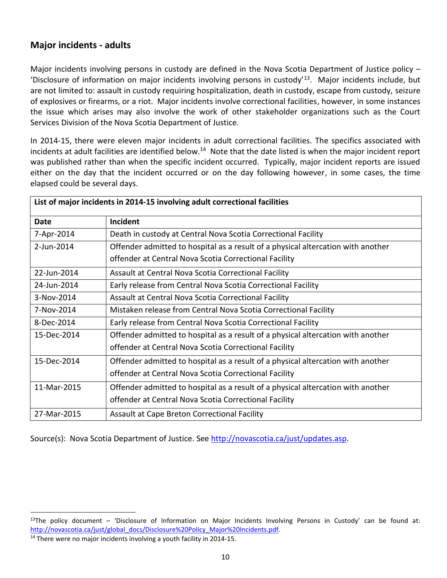# **Major incidents - adults**

 $\overline{\phantom{a}}$ 

Major incidents involving persons in custody are defined in the Nova Scotia Department of Justice policy – 'Disclosure of information on major incidents involving persons in custody'<sup>13</sup> . Major incidents include, but are not limited to: assault in custody requiring hospitalization, death in custody, escape from custody, seizure of explosives or firearms, or a riot. Major incidents involve correctional facilities, however, in some instances the issue which arises may also involve the work of other stakeholder organizations such as the Court Services Division of the Nova Scotia Department of Justice.

In 2014-15, there were eleven major incidents in adult correctional facilities. The specifics associated with incidents at adult facilities are identified below.<sup>14</sup> Note that the date listed is when the major incident report was published rather than when the specific incident occurred. Typically, major incident reports are issued either on the day that the incident occurred or on the day following however, in some cases, the time elapsed could be several days.

| List of major incidents in 2014-15 involving adult correctional facilities |                                                                                  |  |  |  |  |
|----------------------------------------------------------------------------|----------------------------------------------------------------------------------|--|--|--|--|
| Date                                                                       | <b>Incident</b>                                                                  |  |  |  |  |
| 7-Apr-2014                                                                 | Death in custody at Central Nova Scotia Correctional Facility                    |  |  |  |  |
| 2-Jun-2014                                                                 | Offender admitted to hospital as a result of a physical altercation with another |  |  |  |  |
|                                                                            | offender at Central Nova Scotia Correctional Facility                            |  |  |  |  |
| 22-Jun-2014                                                                | Assault at Central Nova Scotia Correctional Facility                             |  |  |  |  |
| 24-Jun-2014                                                                | Early release from Central Nova Scotia Correctional Facility                     |  |  |  |  |
| 3-Nov-2014                                                                 | Assault at Central Nova Scotia Correctional Facility                             |  |  |  |  |
| 7-Nov-2014                                                                 | Mistaken release from Central Nova Scotia Correctional Facility                  |  |  |  |  |
| 8-Dec-2014                                                                 | Early release from Central Nova Scotia Correctional Facility                     |  |  |  |  |
| 15-Dec-2014                                                                | Offender admitted to hospital as a result of a physical altercation with another |  |  |  |  |
|                                                                            | offender at Central Nova Scotia Correctional Facility                            |  |  |  |  |
| 15-Dec-2014                                                                | Offender admitted to hospital as a result of a physical altercation with another |  |  |  |  |
|                                                                            | offender at Central Nova Scotia Correctional Facility                            |  |  |  |  |
| 11-Mar-2015                                                                | Offender admitted to hospital as a result of a physical altercation with another |  |  |  |  |
|                                                                            | offender at Central Nova Scotia Correctional Facility                            |  |  |  |  |
| 27-Mar-2015                                                                | Assault at Cape Breton Correctional Facility                                     |  |  |  |  |

Source(s): Nova Scotia Department of Justice. See [http://novascotia.ca/just/updates.asp.](http://novascotia.ca/just/updates.asp)

 $13$ The policy document – 'Disclosure of Information on Major Incidents Involving Persons in Custody' can be found at: [http://novascotia.ca/just/global\\_docs/Disclosure%20Policy\\_Major%20Incidents.pdf.](http://novascotia.ca/just/global_docs/Disclosure%20Policy_Major%20Incidents.pdf) <sup>14</sup> There were no major incidents involving a youth facility in 2014-15.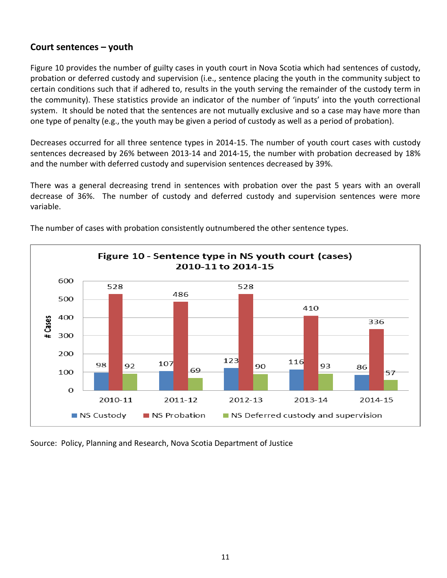#### **Court sentences – youth**

Figure 10 provides the number of guilty cases in youth court in Nova Scotia which had sentences of custody, probation or deferred custody and supervision (i.e., sentence placing the youth in the community subject to certain conditions such that if adhered to, results in the youth serving the remainder of the custody term in the community). These statistics provide an indicator of the number of 'inputs' into the youth correctional system. It should be noted that the sentences are not mutually exclusive and so a case may have more than one type of penalty (e.g., the youth may be given a period of custody as well as a period of probation).

Decreases occurred for all three sentence types in 2014-15. The number of youth court cases with custody sentences decreased by 26% between 2013-14 and 2014-15, the number with probation decreased by 18% and the number with deferred custody and supervision sentences decreased by 39%.

There was a general decreasing trend in sentences with probation over the past 5 years with an overall decrease of 36%. The number of custody and deferred custody and supervision sentences were more variable.



The number of cases with probation consistently outnumbered the other sentence types.

Source: Policy, Planning and Research, Nova Scotia Department of Justice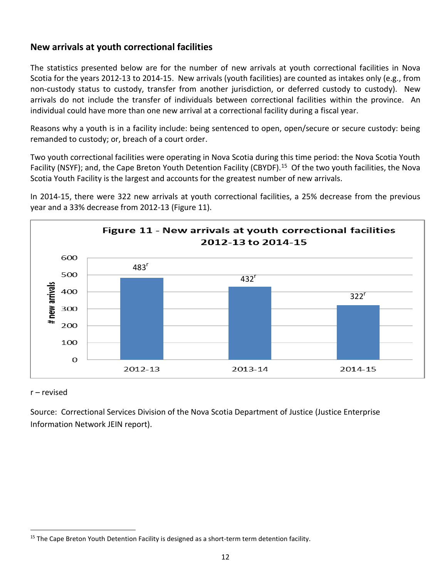## **New arrivals at youth correctional facilities**

The statistics presented below are for the number of new arrivals at youth correctional facilities in Nova Scotia for the years 2012-13 to 2014-15. New arrivals (youth facilities) are counted as intakes only (e.g., from non-custody status to custody, transfer from another jurisdiction, or deferred custody to custody). New arrivals do not include the transfer of individuals between correctional facilities within the province. An individual could have more than one new arrival at a correctional facility during a fiscal year.

Reasons why a youth is in a facility include: being sentenced to open, open/secure or secure custody: being remanded to custody; or, breach of a court order.

Two youth correctional facilities were operating in Nova Scotia during this time period: the Nova Scotia Youth Facility (NSYF); and, the Cape Breton Youth Detention Facility (CBYDF).<sup>15</sup> Of the two youth facilities, the Nova Scotia Youth Facility is the largest and accounts for the greatest number of new arrivals.

In 2014-15, there were 322 new arrivals at youth correctional facilities, a 25% decrease from the previous year and a 33% decrease from 2012-13 (Figure 11).



#### r – revised

 $\overline{\phantom{a}}$ 

Source: Correctional Services Division of the Nova Scotia Department of Justice (Justice Enterprise Information Network JEIN report).

<sup>&</sup>lt;sup>15</sup> The Cape Breton Youth Detention Facility is designed as a short-term term detention facility.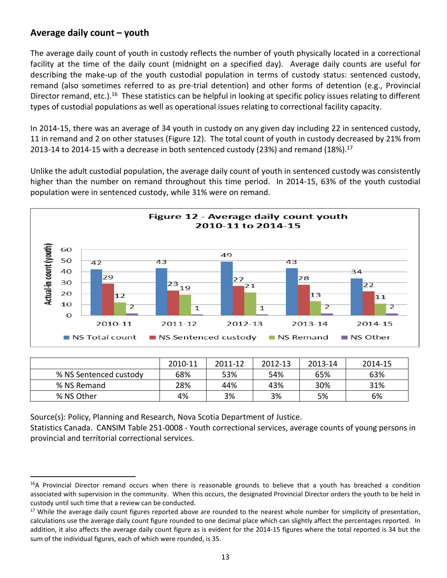## **Average daily count – youth**

 $\overline{\phantom{a}}$ 

The average daily count of youth in custody reflects the number of youth physically located in a correctional facility at the time of the daily count (midnight on a specified day). Average daily counts are useful for describing the make-up of the youth custodial population in terms of custody status: sentenced custody, remand (also sometimes referred to as pre-trial detention) and other forms of detention (e.g., Provincial Director remand, etc.).<sup>16</sup> These statistics can be helpful in looking at specific policy issues relating to different types of custodial populations as well as operational issues relating to correctional facility capacity.

In 2014-15, there was an average of 34 youth in custody on any given day including 22 in sentenced custody, 11 in remand and 2 on other statuses (Figure 12). The total count of youth in custody decreased by 21% from 2013-14 to 2014-15 with a decrease in both sentenced custody (23%) and remand (18%).<sup>17</sup>

Unlike the adult custodial population, the average daily count of youth in sentenced custody was consistently higher than the number on remand throughout this time period. In 2014-15, 63% of the youth custodial population were in sentenced custody, while 31% were on remand.



|                        | 2010-11 | 2011-12 | 2012-13 | 2013-14 | 2014-15 |
|------------------------|---------|---------|---------|---------|---------|
| % NS Sentenced custody | 68%     | 53%     | 54%     | 65%     | 63%     |
| % NS Remand            | 28%     | 44%     | 43%     | 30%     | 31%     |
| % NS Other             | 4%      | 3%      | 3%      | 5%      | 6%      |

Source(s): Policy, Planning and Research, Nova Scotia Department of Justice. Statistics Canada. CANSIM Table 251-0008 - Youth correctional services, average counts of young persons in provincial and territorial correctional services.

<sup>&</sup>lt;sup>16</sup>A Provincial Director remand occurs when there is reasonable grounds to believe that a youth has breached a condition associated with supervision in the community. When this occurs, the designated Provincial Director orders the youth to be held in custody until such time that a review can be conducted.

<sup>&</sup>lt;sup>17</sup> While the average daily count figures reported above are rounded to the nearest whole number for simplicity of presentation, calculations use the average daily count figure rounded to one decimal place which can slightly affect the percentages reported. In addition, it also affects the average daily count figure as is evident for the 2014-15 figures where the total reported is 34 but the sum of the individual figures, each of which were rounded, is 35.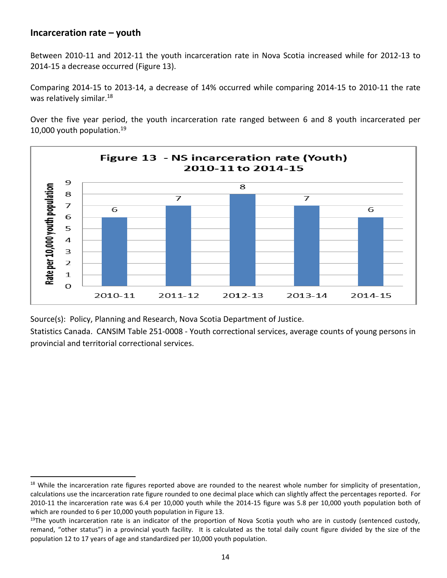### **Incarceration rate – youth**

 $\overline{\phantom{a}}$ 

Between 2010-11 and 2012-11 the youth incarceration rate in Nova Scotia increased while for 2012-13 to 2014-15 a decrease occurred (Figure 13).

Comparing 2014-15 to 2013-14, a decrease of 14% occurred while comparing 2014-15 to 2010-11 the rate was relatively similar. 18

Over the five year period, the youth incarceration rate ranged between 6 and 8 youth incarcerated per 10,000 youth population. 19



Source(s): Policy, Planning and Research, Nova Scotia Department of Justice.

Statistics Canada. CANSIM Table 251-0008 - Youth correctional services, average counts of young persons in provincial and territorial correctional services.

<sup>&</sup>lt;sup>18</sup> While the incarceration rate figures reported above are rounded to the nearest whole number for simplicity of presentation, calculations use the incarceration rate figure rounded to one decimal place which can slightly affect the percentages reported. For 2010-11 the incarceration rate was 6.4 per 10,000 youth while the 2014-15 figure was 5.8 per 10,000 youth population both of which are rounded to 6 per 10,000 youth population in Figure 13.

 $19$ The youth incarceration rate is an indicator of the proportion of Nova Scotia youth who are in custody (sentenced custody, remand, "other status") in a provincial youth facility. It is calculated as the total daily count figure divided by the size of the population 12 to 17 years of age and standardized per 10,000 youth population.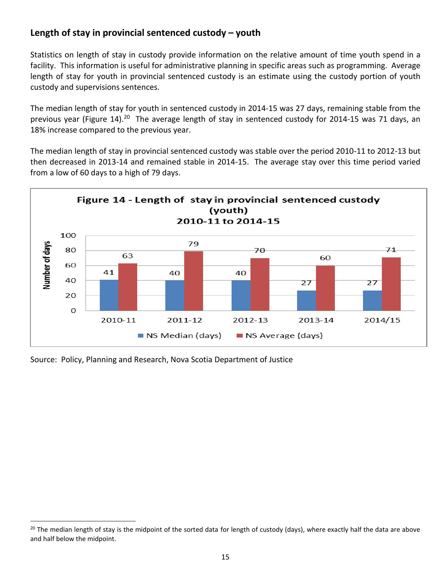# **Length of stay in provincial sentenced custody – youth**

Statistics on length of stay in custody provide information on the relative amount of time youth spend in a facility. This information is useful for administrative planning in specific areas such as programming. Average length of stay for youth in provincial sentenced custody is an estimate using the custody portion of youth custody and supervisions sentences.

The median length of stay for youth in sentenced custody in 2014-15 was 27 days, remaining stable from the previous year (Figure 14).<sup>20</sup> The average length of stay in sentenced custody for 2014-15 was 71 days, an 18% increase compared to the previous year.

The median length of stay in provincial sentenced custody was stable over the period 2010-11 to 2012-13 but then decreased in 2013-14 and remained stable in 2014-15. The average stay over this time period varied from a low of 60 days to a high of 79 days.



Source: Policy, Planning and Research, Nova Scotia Department of Justice

 $\overline{a}$ 

<sup>&</sup>lt;sup>20</sup> The median length of stay is the midpoint of the sorted data for length of custody (days), where exactly half the data are above and half below the midpoint.